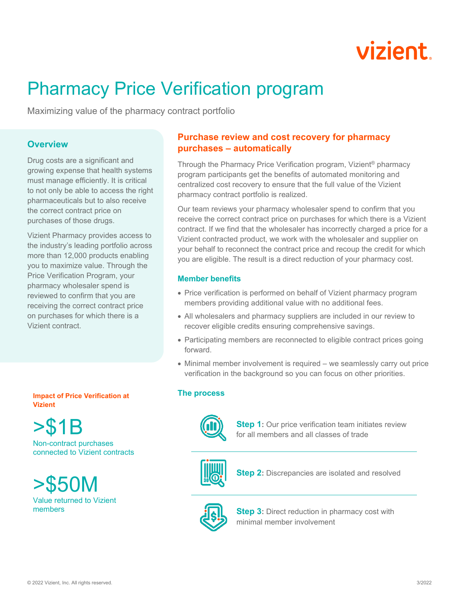

# Pharmacy Price Verification program

Maximizing value of the pharmacy contract portfolio

# **Overview**

Drug costs are a significant and growing expense that health systems must manage efficiently. It is critical to not only be able to access the right pharmaceuticals but to also receive the correct contract price on purchases of those drugs.

Vizient Pharmacy provides access to the industry's leading portfolio across more than 12,000 products enabling you to maximize value. Through the Price Verification Program, your pharmacy wholesaler spend is reviewed to confirm that you are receiving the correct contract price on purchases for which there is a Vizient contract.

**Impact of Price Verification at Vizient**

>\$1B

Non-contract purchases connected to Vizient contracts

>\$50M Value returned to Vizient members

# **Purchase review and cost recovery for pharmacy purchases – automatically**

Through the Pharmacy Price Verification program, Vizient® pharmacy program participants get the benefits of automated monitoring and centralized cost recovery to ensure that the full value of the Vizient pharmacy contract portfolio is realized.

Our team reviews your pharmacy wholesaler spend to confirm that you receive the correct contract price on purchases for which there is a Vizient contract. If we find that the wholesaler has incorrectly charged a price for a Vizient contracted product, we work with the wholesaler and supplier on your behalf to reconnect the contract price and recoup the credit for which you are eligible. The result is a direct reduction of your pharmacy cost.

### **Member benefits**

- Price verification is performed on behalf of Vizient pharmacy program members providing additional value with no additional fees.
- All wholesalers and pharmacy suppliers are included in our review to recover eligible credits ensuring comprehensive savings.
- Participating members are reconnected to eligible contract prices going forward.
- Minimal member involvement is required we seamlessly carry out price verification in the background so you can focus on other priorities.

### **The process**



**Step 1:** Our price verification team initiates review for all members and all classes of trade



**Step 2:** Discrepancies are isolated and resolved



**Step 3:** Direct reduction in pharmacy cost with minimal member involvement